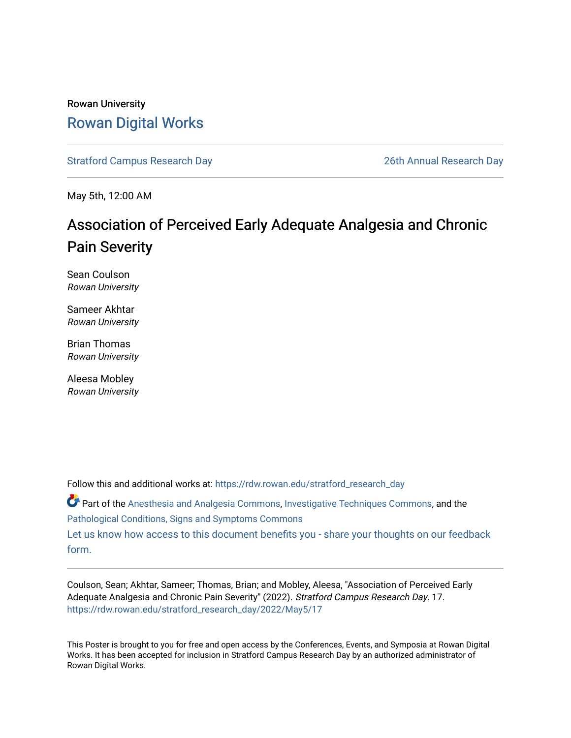#### Rowan University [Rowan Digital Works](https://rdw.rowan.edu/)

[Stratford Campus Research Day](https://rdw.rowan.edu/stratford_research_day) [26th Annual Research Day](https://rdw.rowan.edu/stratford_research_day/2022) 

May 5th, 12:00 AM

#### Association of Perceived Early Adequate Analgesia and Chronic Pain Severity

Sean Coulson Rowan University

Sameer Akhtar Rowan University

Brian Thomas Rowan University

Aleesa Mobley Rowan University

Follow this and additional works at: [https://rdw.rowan.edu/stratford\\_research\\_day](https://rdw.rowan.edu/stratford_research_day?utm_source=rdw.rowan.edu%2Fstratford_research_day%2F2022%2FMay5%2F17&utm_medium=PDF&utm_campaign=PDFCoverPages)

Part of the [Anesthesia and Analgesia Commons,](https://network.bepress.com/hgg/discipline/956?utm_source=rdw.rowan.edu%2Fstratford_research_day%2F2022%2FMay5%2F17&utm_medium=PDF&utm_campaign=PDFCoverPages) [Investigative Techniques Commons](https://network.bepress.com/hgg/discipline/922?utm_source=rdw.rowan.edu%2Fstratford_research_day%2F2022%2FMay5%2F17&utm_medium=PDF&utm_campaign=PDFCoverPages), and the [Pathological Conditions, Signs and Symptoms Commons](https://network.bepress.com/hgg/discipline/1004?utm_source=rdw.rowan.edu%2Fstratford_research_day%2F2022%2FMay5%2F17&utm_medium=PDF&utm_campaign=PDFCoverPages) 

[Let us know how access to this document benefits you - share your thoughts on our feedback](https://www.lib.rowan.edu/rdw-feedback?ref=https://rdw.rowan.edu/stratford_research_day/2022/May5/17) [form.](https://www.lib.rowan.edu/rdw-feedback?ref=https://rdw.rowan.edu/stratford_research_day/2022/May5/17)

Coulson, Sean; Akhtar, Sameer; Thomas, Brian; and Mobley, Aleesa, "Association of Perceived Early Adequate Analgesia and Chronic Pain Severity" (2022). Stratford Campus Research Day. 17. [https://rdw.rowan.edu/stratford\\_research\\_day/2022/May5/17](https://rdw.rowan.edu/stratford_research_day/2022/May5/17?utm_source=rdw.rowan.edu%2Fstratford_research_day%2F2022%2FMay5%2F17&utm_medium=PDF&utm_campaign=PDFCoverPages) 

This Poster is brought to you for free and open access by the Conferences, Events, and Symposia at Rowan Digital Works. It has been accepted for inclusion in Stratford Campus Research Day by an authorized administrator of Rowan Digital Works.